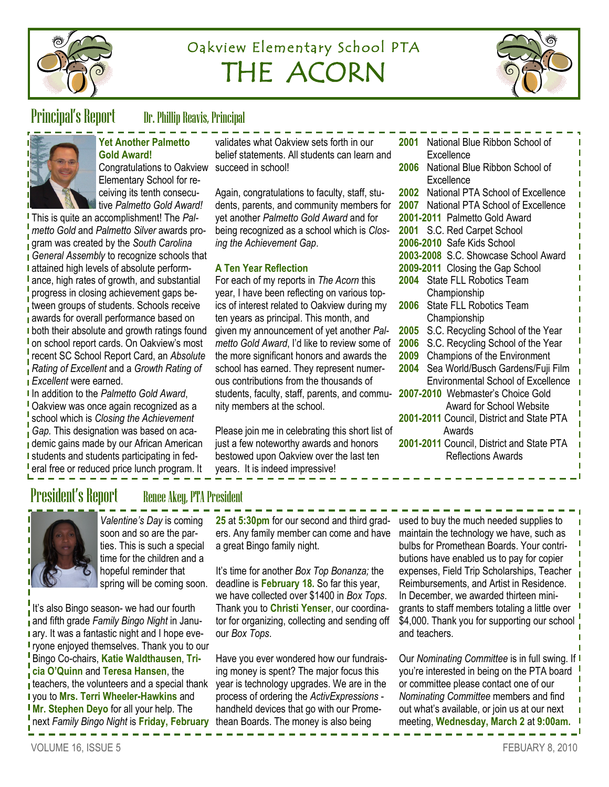

# Oakview Elementary School PTA THE ACORN



## Principal's Report Dr. Phillip Reavis, Principal



#### **Yet Another Palmetto Gold Award!** Congratulations to Oakview succeed in school!

Elementary School for receiving its tenth consecutive *Palmetto Gold Award!* 

This is quite an accomplishment! The *Palmetto Gold* and *Palmetto Silver* awards program was created by the *South Carolina*  **General Assembly to recognize schools that I** attained high levels of absolute performance, high rates of growth, and substantial progress in closing achievement gaps between groups of students. Schools receive **a** awards for overall performance based on I both their absolute and growth ratings found I on school report cards. On Oakview's most recent SC School Report Card, an *Absolute Rating of Excellent* and a *Growth Rating of Excellent* were earned.

In addition to the *Palmetto Gold Award*, **Oakview was once again recognized as a** school which is *Closing the Achievement* 

**Gap.** This designation was based on academic gains made by our African American I students and students participating in fed**l** eral free or reduced price lunch program. It validates what Oakview sets forth in our belief statements. All students can learn and

Again, congratulations to faculty, staff, students, parents, and community members for yet another *Palmetto Gold Award* and for being recognized as a school which is *Closing the Achievement Gap*.

#### **A Ten Year Reflection**

For each of my reports in *The Acorn* this year, I have been reflecting on various topics of interest related to Oakview during my ten years as principal. This month, and given my announcement of yet another *Palmetto Gold Award*, I'd like to review some of the more significant honors and awards the school has earned. They represent numerous contributions from the thousands of students, faculty, staff, parents, and community members at the school.

Please join me in celebrating this short list of just a few noteworthy awards and honors bestowed upon Oakview over the last ten years. It is indeed impressive!

|                                           | 2001 National Blue Ribbon School of       |  |
|-------------------------------------------|-------------------------------------------|--|
|                                           | Excellence                                |  |
| 2006                                      | National Blue Ribbon School of            |  |
|                                           | Excellence                                |  |
|                                           | 2002 National PTA School of Excellence    |  |
|                                           | 2007 National PTA School of Excellence    |  |
|                                           | 2001-2011 Palmetto Gold Award             |  |
|                                           | 2001 S.C. Red Carpet School               |  |
|                                           | 2006-2010 Safe Kids School                |  |
|                                           | 2003-2008 S.C. Showcase School Award      |  |
|                                           | 2009-2011 Closing the Gap School          |  |
|                                           | 2004 State FLL Robotics Team              |  |
|                                           | Championship                              |  |
| 2006                                      | <b>State FLL Robotics Team</b>            |  |
|                                           | Championship                              |  |
| 2005                                      | S.C. Recycling School of the Year         |  |
|                                           | 2006 S.C. Recycling School of the Year    |  |
| 2009                                      | Champions of the Environment              |  |
| 2004                                      | Sea World/Busch Gardens/Fuji Film         |  |
|                                           | <b>Environmental School of Excellence</b> |  |
|                                           | 2007-2010 Webmaster's Choice Gold         |  |
|                                           | <b>Award for School Website</b>           |  |
|                                           | 2001-2011 Council, District and State PTA |  |
|                                           | Awards                                    |  |
| 2001-2011 Council, District and State PTA |                                           |  |
|                                           | <b>Reflections Awards</b>                 |  |

## President's Report Renee Akey, PTA President



*Valentine's Day* is coming soon and so are the parties. This is such a special time for the children and a hopeful reminder that spring will be coming soon.

It's also Bingo season- we had our fourth and fifth grade *Family Bingo Night* in Janu**a** ary. It was a fantastic night and I hope eve**r** ryone enjoyed themselves. Thank you to our Bingo Co-chairs, **Katie Waldthausen**, **Tricia O'Quinn** and **Teresa Hansen**, the  $\frac{1}{1}$  teachers, the volunteers and a special thank you to **Mrs. Terri Wheeler-Hawkins** and **Mr. Stephen Deyo** for all your help. The next *Family Bingo Night* is **Friday, February**  thean Boards. The money is also being

25 at 5:30pm for our second and third grad- used to buy the much needed supplies to ers. Any family member can come and have a great Bingo family night.

It's time for another *Box Top Bonanza;* the deadline is **February 18.** So far this year, we have collected over \$1400 in *Box Tops*. Thank you to **Christi Yenser**, our coordinator for organizing, collecting and sending off our *Box Tops*.

Have you ever wondered how our fundraising money is spent? The major focus this year is technology upgrades. We are in the process of ordering the *ActivExpressions*  handheld devices that go with our Promemaintain the technology we have, such as bulbs for Promethean Boards. Your contributions have enabled us to pay for copier expenses, Field Trip Scholarships, Teacher Reimbursements, and Artist in Residence. In December, we awarded thirteen minigrants to staff members totaling a little over \$4,000. Thank you for supporting our school and teachers.

Our *Nominating Committee* is in full swing. If you're interested in being on the PTA board or committee please contact one of our *Nominating Committee* members and find out what's available, or join us at our next meeting, **Wednesday, March 2** at **9:00am.**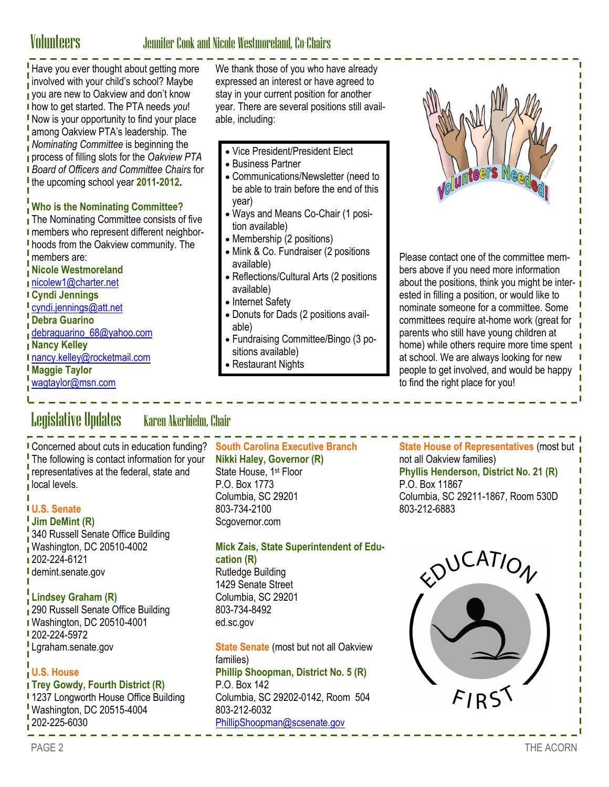### Volunteers Jennifer Cook and Nicole Westmoreland, Co-Chairs

Have you ever thought about getting more involved with your child's school? Maybe vou are new to Oakview and don't know how to get started. The PTA needs *you*! I Now is your opportunity to find your place among Oakview PTA's leadership. The *Nominating Committee* is beginning the process of filling slots for the *Oakview PTA Board of Officers and Committee Chairs* for the upcoming school year **2011-2012.**

#### **Who is the Nominating Committee?**

The Nominating Committee consists of five **I** members who represent different neighborhoods from the Oakview community. The members are:

#### **Nicole Westmoreland**

[nicolew1@charter.net](mailto:nicolew1@charter.net)

#### **Cyndi Jennings**

- [cyndi.jennings@att.net](mailto:cyndi.jennings@att.net)
- **Debra Guarino**
- [debraguarino\\_68@yahoo.com](mailto:debraguarino_68@yahoo.com)
- **Nancy Kelley**
- [nancy.kelley@rocketmail.com](mailto:nancy.kelley@rocketmail.com)
- **Maggie Taylor**
- [wagtaylor@msn.com](mailto:wagtaylor@msn.com)

We thank those of you who have already expressed an interest or have agreed to stay in your current position for another year. There are several positions still available, including:

- Vice President/President Elect
- Business Partner
- Communications/Newsletter (need to be able to train before the end of this year)
- Ways and Means Co-Chair (1 position available)
- Membership (2 positions)
- Mink & Co. Fundraiser (2 positions available)
- Reflections/Cultural Arts (2 positions available)
- Internet Safety
- Donuts for Dads (2 positions available)
- Fundraising Committee/Bingo (3 positions available)
- Restaurant Nights



Please contact one of the committee members above if you need more information about the positions, think you might be interested in filling a position, or would like to nominate someone for a committee. Some committees require at-home work (great for parents who still have young children at home) while others require more time spent at school. We are always looking for new people to get involved, and would be happy to find the right place for you!

## Legislative Updates Karen Akerhielm, Chair

**The following is contact information for your** representatives at the federal, state and local levels.

### **U.S. Senate**

**Jim DeMint (R)**

**340 Russell Senate Office Building** Washington, DC 20510-4002 1 202-224-6121 I demint.senate.gov

### **Lindsey Graham (R)**

290 Russell Senate Office Building Washington, DC 20510-4001 **202-224-5972** Lgraham.senate.gov

### **U.S. House**

#### **Trey Gowdy, Fourth District (R)**

**1237 Longworth House Office Building** Washington, DC 20515-4004  $\frac{1}{2}$  202-225-6030

### Concerned about cuts in education funding? **South Carolina Executive Branch**

**Nikki Haley, Governor (R)**

State House, 1<sup>st</sup> Floor P.O. Box 1773 Columbia, SC 29201 803-734-2100 Scaovernor.com

#### **Mick Zais, State Superintendent of Education (R)**

Rutledge Building 1429 Senate Street Columbia, SC 29201 803-734-8492 ed.sc.gov

**State Senate** (most but not all Oakview families) **Phillip Shoopman, District No. 5 (R)** P.O. Box 142 Columbia, SC 29202-0142, Room 504 803-212-6032 [PhillipShoopman@scsenate.gov](mailto:PhillipShoopman@scsenate.gov)

**State House of Representatives** (most but not all Oakview families) **Phyllis Henderson, District No. 21 (R)** P.O. Box 11867 Columbia, SC 29211-1867, Room 530D 803-212-6883

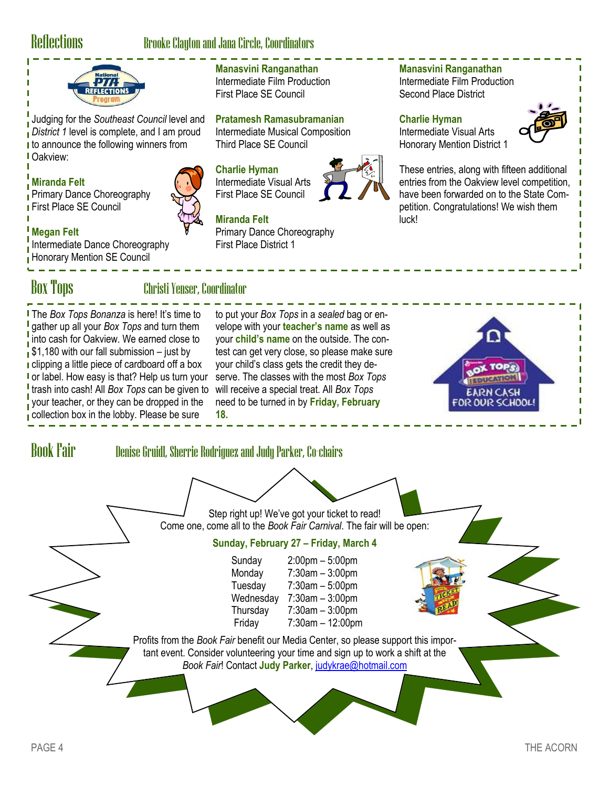## Reflections Brooke Clayton and Jana Circle, Coordinators

**Manasvini Ranganathan** Intermediate Film Production First Place SE Council

Third Place SE Council

**Charlie Hyman** Intermediate Visual Arts First Place SE Council

**Miranda Felt**

First Place District 1

**Pratamesh Ramasubramanian** Intermediate Musical Composition

Primary Dance Choreography



Judging for the *Southeast Council* level and *District 1* level is complete, and I am proud **t** to announce the following winners from Oakview:

### **Miranda Felt**

**Primary Dance Choreography** First Place SE Council



## **Megan Felt**

Intermediate Dance Choreography **Honorary Mention SE Council** 

## Box Tops Christi Yenser, Coordinator

The *Box Tops Bonanza* is here! It's time to gather up all your *Box Tops* and turn them into cash for Oakview. We earned close to  $\frac{1}{1}$ \$1,180 with our fall submission – just by I clipping a little piece of cardboard off a box I or label. How easy is that? Help us turn your trash into cash! All *Box Tops* can be given to your teacher, or they can be dropped in the collection box in the lobby. Please be sure

to put your *Box Tops* in a *sealed* bag or envelope with your **teacher's name** as well as your **child's name** on the outside. The contest can get very close, so please make sure your child's class gets the credit they deserve. The classes with the most *Box Tops* will receive a special treat. All *Box Tops* need to be turned in by **Friday, February 18.**

#### **Manasvini Ranganathan**

Intermediate Film Production Second Place District

#### **Charlie Hyman**

Intermediate Visual Arts Honorary Mention District 1



These entries, along with fifteen additional entries from the Oakview level competition, have been forwarded on to the State Competition. Congratulations! We wish them luck!